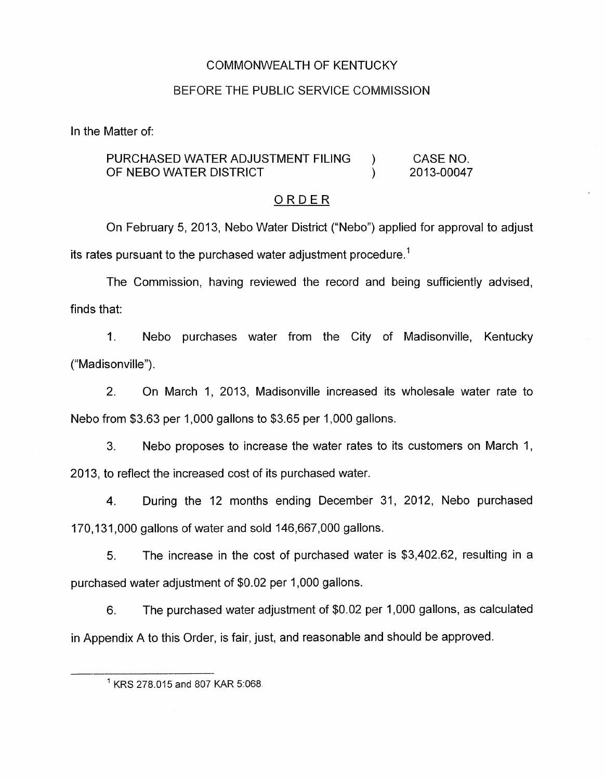## COMMONWEALTH OF KENTUCKY

## BEFORE THE PUBLIC SERVICE COMMISSION

In the Matter of:

## PURCHASED WATER ADJUSTMENT FILING ) CASE NO. OF NEBO WATER DISTRICT (2013-00047

### ORDER

On February 5, 2013, Neb0 Water District ("Nebo") applied for approval to adjust its rates pursuant to the purchased water adjustment procedure.'

The Commission, having reviewed the record and being sufficiently advised, finds that:

1. Nebo purchases water from the City of Madisonville, Kentucky ("Madisonville").

2. On March 1, 2013, Madisonville increased its wholesale water rate to Neb0 from \$3.63 per 1,000 gallons to \$3.65 per 1,000 gallons.

3. Neb0 proposes to increase the water rates to its customers on March 1, 2013, to reflect the increased cost of its purchased water.

4. During the 12 months ending December 31, 2012, Nebo purchased 170,131,000 gallons of water and sold 146,667,000 gallons.

*5.* The increase in the cost of purchased water is \$3,402.62, resulting in a purchased water adjustment of \$0.02 per 1,000 gallons.

6. The purchased water adjustment of \$0.02 per 1,000 gallons, as calculated in Appendix A to this Order, is fair, just, and reasonable and should be approved.

<sup>&#</sup>x27; **KRS** 278.015 and 807 KAR 51068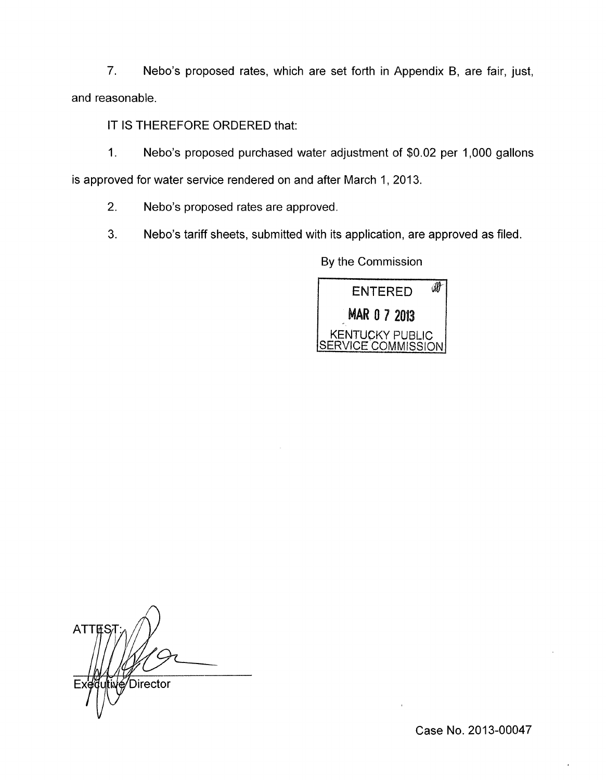7. Nebo's proposed rates, which are set forth in Appendix B, are fair, just, and reasonable.

IT IS THEREFORE ORDERED that:

1. Nebo's proposed purchased water adjustment of \$0.02 per 1,000 gallons is approved for water service rendered on and after March 1, 2013.

2. Nebo's proposed rates are approved.

3. Nebo's tariff sheets, submitted with its application, are approved as filed.

By the Commission



 $\overline{\bigwedge}$ **ATTES** √Director

Case No. 2013-00047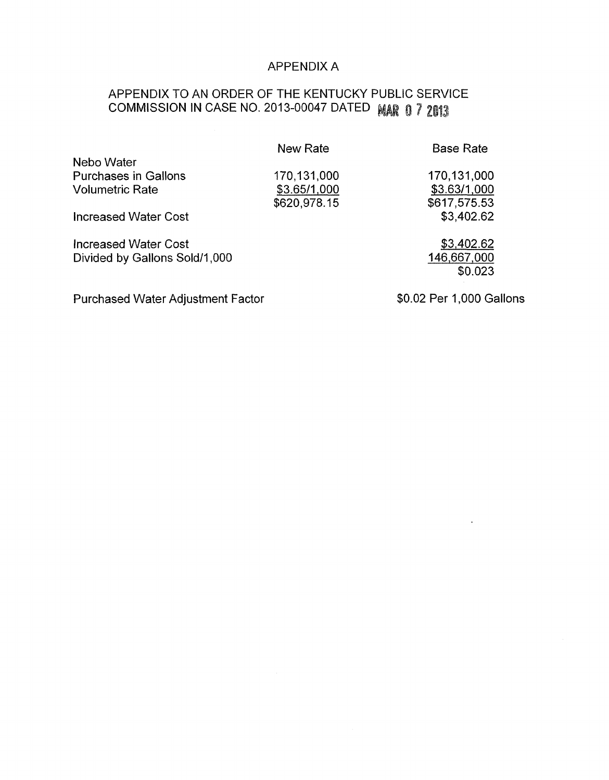## APPENDIX A

# APPENDIX TO AN ORDER OF THE KENTUCKY PUBLlC SERVICE **COMMISSION IN CASE NO. 2013-00047 DATED MAR 0 7 2013**

|                               | New Rate     | <b>Base Rate</b> |
|-------------------------------|--------------|------------------|
| Nebo Water                    |              |                  |
| <b>Purchases in Gallons</b>   | 170,131,000  | 170,131,000      |
| <b>Volumetric Rate</b>        | \$3.65/1,000 | \$3.63/1,000     |
|                               | \$620,978.15 | \$617,575.53     |
| <b>Increased Water Cost</b>   |              | \$3,402.62       |
| <b>Increased Water Cost</b>   |              | \$3,402.62       |
| Divided by Gallons Sold/1,000 |              | 146,667,000      |
|                               |              | \$0.023          |
|                               |              |                  |

Purchased Water Adjustment Factor

\$0.02 Per 1,000 Gallons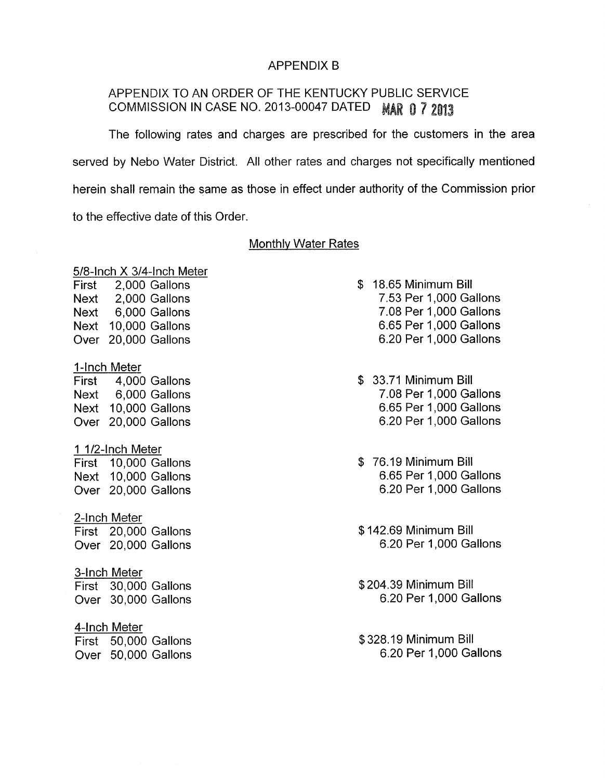### APPENDIX B

## APPENDIX TO AN ORDER OF THE KENTUCKY PUBLIC SERVICE COMMISSION IN CASE NO. 2013-00047 DATED MAR 0 7 2013

The following rates and charges are prescribed for the customers in the area served by Nebo Water District. All other rates and charges not specifically mentioned herein shall remain the same as those in effect under authority of the Commission prior to the effective date of this Order.

#### Monthly Water Rates

#### 5/8-lnch X 3/4-lnch Meter

First 2,000 Gallons Next 2,000 Gallons Next 6,000 Gallons Next 10,000 Gallons Over 20,000 Gallons

#### 1-Inch Meter

First 4,000 Gallons Next 6,000 Gallons Next 10,000 Gallons Over 20,000 Gallons

### 1 1/2-lnch Meter

First 10,000 Gallons Next 10,000 Gallons Over 20,000 Gallons

#### 2-Inch Meter

First 20,000 Gallons Over 20,000 Gallons

#### 3-Inch Meter

First 30,000 Gallons Over 30,000 Gallons

#### 4-Inch Meter

First 50,000 Gallons Over 50,000 Gallons

- \$ 18.65 Minimum Bill 7.53 Per 1,000 Gallons 7.08 Per 1,000 Gallons 6.65 Per 1,000 Gallons 6.20 Per 1,000 Gallons
- \$ 33.71 Minimum Bill 7.08 Per 1,000 Gallons 6.65 Per 1,000 Gallons 6.20 Per 1,000 Gallons
- \$ 76.19 Minimum Bill 6.65 Per 1,000 Gallons 6.20 Per 1,000 Gallons
- \$142.69 Minimum Bill 6.20 Per 1,000 Gallons
- \$204.39 Minimum Bill 6.20 Per 1,000 Gallons
- \$328.19 Minimum Bill 6.20 Per 1,000 Gallons